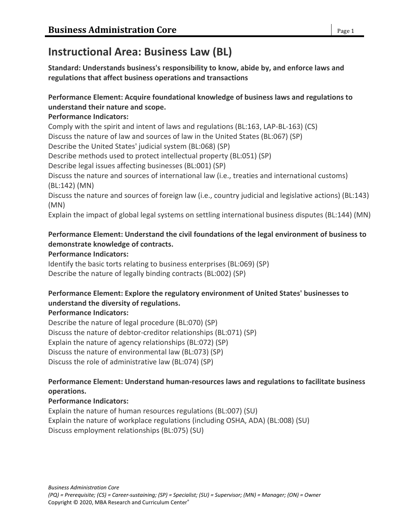# **Instructional Area: Business Law (BL)**

**Standard: Understands business's responsibility to know, abide by, and enforce laws and regulations that affect business operations and transactions**

## **Performance Element: Acquire foundational knowledge of business laws and regulations to understand their nature and scope.**

### **Performance Indicators:**

Comply with the spirit and intent of laws and regulations (BL:163, LAP-BL-163) (CS) Discuss the nature of law and sources of law in the United States (BL:067) (SP) Describe the United States' judicial system (BL:068) (SP) Describe methods used to protect intellectual property (BL:051) (SP) Describe legal issues affecting businesses (BL:001) (SP) Discuss the nature and sources of international law (i.e., treaties and international customs) (BL:142) (MN) Discuss the nature and sources of foreign law (i.e., country judicial and legislative actions) (BL:143) (MN) Explain the impact of global legal systems on settling international business disputes (BL:144) (MN)

## **Performance Element: Understand the civil foundations of the legal environment of business to demonstrate knowledge of contracts.**

## **Performance Indicators:**

Identify the basic torts relating to business enterprises (BL:069) (SP) Describe the nature of legally binding contracts (BL:002) (SP)

## **Performance Element: Explore the regulatory environment of United States' businesses to understand the diversity of regulations.**

#### **Performance Indicators:**

Describe the nature of legal procedure (BL:070) (SP) Discuss the nature of debtor-creditor relationships (BL:071) (SP) Explain the nature of agency relationships (BL:072) (SP) Discuss the nature of environmental law (BL:073) (SP) Discuss the role of administrative law (BL:074) (SP)

## **Performance Element: Understand human-resources laws and regulations to facilitate business operations.**

## **Performance Indicators:**

Explain the nature of human resources regulations (BL:007) (SU) Explain the nature of workplace regulations (including OSHA, ADA) (BL:008) (SU) Discuss employment relationships (BL:075) (SU)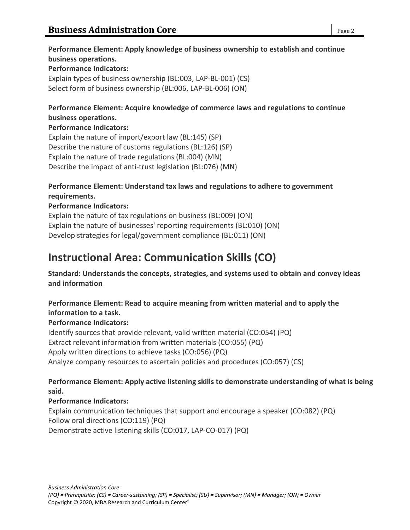#### **Performance Element: Apply knowledge of business ownership to establish and continue business operations. Performance Indicators:**

Explain types of business ownership (BL:003, LAP-BL-001) (CS) Select form of business ownership (BL:006, LAP-BL-006) (ON)

### **Performance Element: Acquire knowledge of commerce laws and regulations to continue business operations.**

### **Performance Indicators:**

Explain the nature of import/export law (BL:145) (SP) Describe the nature of customs regulations (BL:126) (SP) Explain the nature of trade regulations (BL:004) (MN) Describe the impact of anti-trust legislation (BL:076) (MN)

#### **Performance Element: Understand tax laws and regulations to adhere to government requirements.**

## **Performance Indicators:**

Explain the nature of tax regulations on business (BL:009) (ON) Explain the nature of businesses' reporting requirements (BL:010) (ON) Develop strategies for legal/government compliance (BL:011) (ON)

# **Instructional Area: Communication Skills (CO)**

**Standard: Understands the concepts, strategies, and systems used to obtain and convey ideas and information**

## **Performance Element: Read to acquire meaning from written material and to apply the information to a task.**

## **Performance Indicators:**

Identify sources that provide relevant, valid written material (CO:054) (PQ) Extract relevant information from written materials (CO:055) (PQ) Apply written directions to achieve tasks (CO:056) (PQ) Analyze company resources to ascertain policies and procedures (CO:057) (CS)

## **Performance Element: Apply active listening skills to demonstrate understanding of what is being said.**

#### **Performance Indicators:**

Explain communication techniques that support and encourage a speaker (CO:082) (PQ) Follow oral directions (CO:119) (PQ) Demonstrate active listening skills (CO:017, LAP-CO-017) (PQ)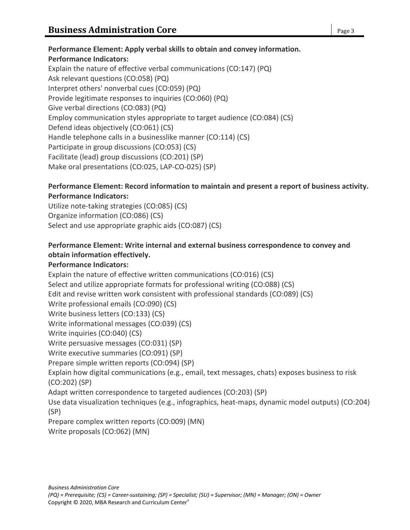```
Performance Element: Apply verbal skills to obtain and convey information.
Performance Indicators:
Explain the nature of effective verbal communications (CO:147) (PQ)
Ask relevant questions (CO:058) (PQ)
Interpret others' nonverbal cues (CO:059) (PQ)
Provide legitimate responses to inquiries (CO:060) (PQ)
Give verbal directions (CO:083) (PQ)
Employ communication styles appropriate to target audience (CO:084) (CS)
Defend ideas objectively (CO:061) (CS)
Handle telephone calls in a businesslike manner (CO:114) (CS)
Participate in group discussions (CO:053) (CS)
Facilitate (lead) group discussions (CO:201) (SP)
Make oral presentations (CO:025, LAP-CO-025) (SP)
```
#### **Performance Element: Record information to maintain and present a report of business activity. Performance Indicators:**

Utilize note-taking strategies (CO:085) (CS) Organize information (CO:086) (CS) Select and use appropriate graphic aids (CO:087) (CS)

#### **Performance Element: Write internal and external business correspondence to convey and obtain information effectively.**

#### **Performance Indicators:**

Explain the nature of effective written communications (CO:016) (CS) Select and utilize appropriate formats for professional writing (CO:088) (CS) Edit and revise written work consistent with professional standards (CO:089) (CS) Write professional emails (CO:090) (CS) Write business letters (CO:133) (CS) Write informational messages (CO:039) (CS) Write inquiries (CO:040) (CS) Write persuasive messages (CO:031) (SP) Write executive summaries (CO:091) (SP) Prepare simple written reports (CO:094) (SP) Explain how digital communications (e.g., email, text messages, chats) exposes business to risk (CO:202) (SP) Adapt written correspondence to targeted audiences (CO:203) (SP) Use data visualization techniques (e.g., infographics, heat-maps, dynamic model outputs) (CO:204) (SP) Prepare complex written reports (CO:009) (MN) Write proposals (CO:062) (MN)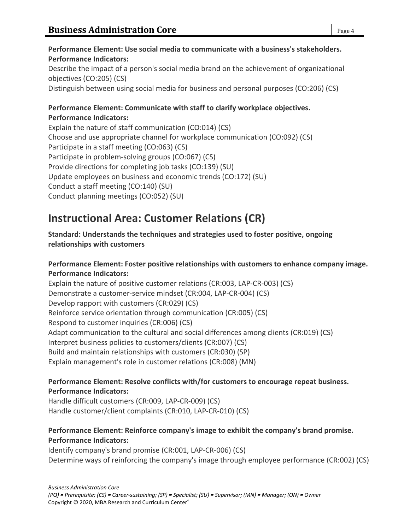## **Performance Element: Communicate with staff to clarify workplace objectives. Performance Indicators:** Explain the nature of staff communication (CO:014) (CS)

Choose and use appropriate channel for workplace communication (CO:092) (CS) Participate in a staff meeting (CO:063) (CS) Participate in problem-solving groups (CO:067) (CS) Provide directions for completing job tasks (CO:139) (SU) Update employees on business and economic trends (CO:172) (SU) Conduct a staff meeting (CO:140) (SU) Conduct planning meetings (CO:052) (SU)

# **Instructional Area: Customer Relations (CR)**

## **Standard: Understands the techniques and strategies used to foster positive, ongoing relationships with customers**

## **Performance Element: Foster positive relationships with customers to enhance company image. Performance Indicators:**

Explain the nature of positive customer relations (CR:003, LAP-CR-003) (CS) Demonstrate a customer-service mindset (CR:004, LAP-CR-004) (CS) Develop rapport with customers (CR:029) (CS) Reinforce service orientation through communication (CR:005) (CS) Respond to customer inquiries (CR:006) (CS) Adapt communication to the cultural and social differences among clients (CR:019) (CS) Interpret business policies to customers/clients (CR:007) (CS) Build and maintain relationships with customers (CR:030) (SP) Explain management's role in customer relations (CR:008) (MN)

## **Performance Element: Resolve conflicts with/for customers to encourage repeat business. Performance Indicators:**

Handle difficult customers (CR:009, LAP-CR-009) (CS) Handle customer/client complaints (CR:010, LAP-CR-010) (CS)

## **Performance Element: Reinforce company's image to exhibit the company's brand promise. Performance Indicators:**

Identify company's brand promise (CR:001, LAP-CR-006) (CS) Determine ways of reinforcing the company's image through employee performance (CR:002) (CS)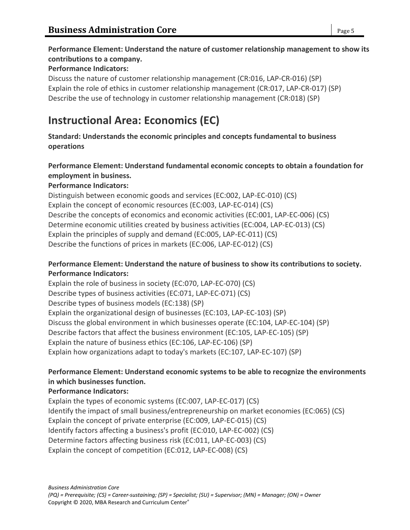## **Performance Element: Understand the nature of customer relationship management to show its contributions to a company.**

#### **Performance Indicators:**

Discuss the nature of customer relationship management (CR:016, LAP-CR-016) (SP) Explain the role of ethics in customer relationship management (CR:017, LAP-CR-017) (SP) Describe the use of technology in customer relationship management (CR:018) (SP)

## **Instructional Area: Economics (EC)**

**Standard: Understands the economic principles and concepts fundamental to business operations**

### **Performance Element: Understand fundamental economic concepts to obtain a foundation for employment in business.**

#### **Performance Indicators:**

Distinguish between economic goods and services (EC:002, LAP-EC-010) (CS) Explain the concept of economic resources (EC:003, LAP-EC-014) (CS) Describe the concepts of economics and economic activities (EC:001, LAP-EC-006) (CS) Determine economic utilities created by business activities (EC:004, LAP-EC-013) (CS) Explain the principles of supply and demand (EC:005, LAP-EC-011) (CS) Describe the functions of prices in markets (EC:006, LAP-EC-012) (CS)

#### **Performance Element: Understand the nature of business to show its contributions to society. Performance Indicators:**

Explain the role of business in society (EC:070, LAP-EC-070) (CS) Describe types of business activities (EC:071, LAP-EC-071) (CS) Describe types of business models (EC:138) (SP) Explain the organizational design of businesses (EC:103, LAP-EC-103) (SP) Discuss the global environment in which businesses operate (EC:104, LAP-EC-104) (SP) Describe factors that affect the business environment (EC:105, LAP-EC-105) (SP) Explain the nature of business ethics (EC:106, LAP-EC-106) (SP) Explain how organizations adapt to today's markets (EC:107, LAP-EC-107) (SP)

#### **Performance Element: Understand economic systems to be able to recognize the environments in which businesses function.**

#### **Performance Indicators:**

Explain the types of economic systems (EC:007, LAP-EC-017) (CS) Identify the impact of small business/entrepreneurship on market economies (EC:065) (CS) Explain the concept of private enterprise (EC:009, LAP-EC-015) (CS) Identify factors affecting a business's profit (EC:010, LAP-EC-002) (CS) Determine factors affecting business risk (EC:011, LAP-EC-003) (CS) Explain the concept of competition (EC:012, LAP-EC-008) (CS)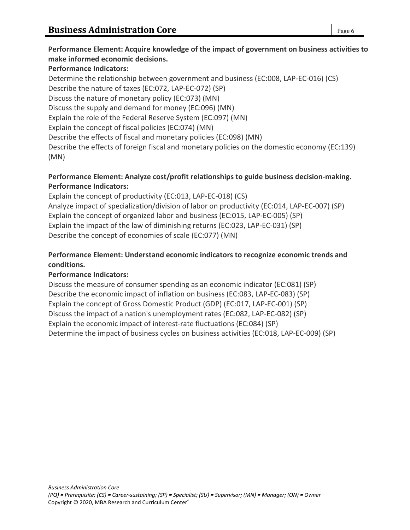#### **Performance Element: Acquire knowledge of the impact of government on business activities to make informed economic decisions.**

#### **Performance Indicators:**

Determine the relationship between government and business (EC:008, LAP-EC-016) (CS) Describe the nature of taxes (EC:072, LAP-EC-072) (SP) Discuss the nature of monetary policy (EC:073) (MN) Discuss the supply and demand for money (EC:096) (MN) Explain the role of the Federal Reserve System (EC:097) (MN) Explain the concept of fiscal policies (EC:074) (MN) Describe the effects of fiscal and monetary policies (EC:098) (MN) Describe the effects of foreign fiscal and monetary policies on the domestic economy (EC:139) (MN)

### **Performance Element: Analyze cost/profit relationships to guide business decision-making. Performance Indicators:**

Explain the concept of productivity (EC:013, LAP-EC-018) (CS) Analyze impact of specialization/division of labor on productivity (EC:014, LAP-EC-007) (SP) Explain the concept of organized labor and business (EC:015, LAP-EC-005) (SP) Explain the impact of the law of diminishing returns (EC:023, LAP-EC-031) (SP) Describe the concept of economies of scale (EC:077) (MN)

## **Performance Element: Understand economic indicators to recognize economic trends and conditions.**

## **Performance Indicators:**

Discuss the measure of consumer spending as an economic indicator (EC:081) (SP) Describe the economic impact of inflation on business (EC:083, LAP-EC-083) (SP) Explain the concept of Gross Domestic Product (GDP) (EC:017, LAP-EC-001) (SP) Discuss the impact of a nation's unemployment rates (EC:082, LAP-EC-082) (SP) Explain the economic impact of interest-rate fluctuations (EC:084) (SP) Determine the impact of business cycles on business activities (EC:018, LAP-EC-009) (SP)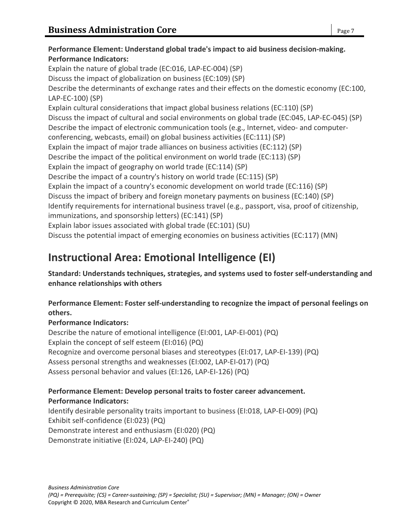## **Performance Element: Understand global trade's impact to aid business decision-making. Performance Indicators:** Explain the nature of global trade (EC:016, LAP-EC-004) (SP) Discuss the impact of globalization on business (EC:109) (SP) Describe the determinants of exchange rates and their effects on the domestic economy (EC:100, LAP-EC-100) (SP) Explain cultural considerations that impact global business relations (EC:110) (SP) Discuss the impact of cultural and social environments on global trade (EC:045, LAP-EC-045) (SP) Describe the impact of electronic communication tools (e.g., Internet, video- and computerconferencing, webcasts, email) on global business activities (EC:111) (SP) Explain the impact of major trade alliances on business activities (EC:112) (SP) Describe the impact of the political environment on world trade (EC:113) (SP) Explain the impact of geography on world trade (EC:114) (SP) Describe the impact of a country's history on world trade (EC:115) (SP) Explain the impact of a country's economic development on world trade (EC:116) (SP) Discuss the impact of bribery and foreign monetary payments on business (EC:140) (SP) Identify requirements for international business travel (e.g., passport, visa, proof of citizenship, immunizations, and sponsorship letters) (EC:141) (SP) Explain labor issues associated with global trade (EC:101) (SU) Discuss the potential impact of emerging economies on business activities (EC:117) (MN) **Instructional Area: Emotional Intelligence (EI)**

## **Standard: Understands techniques, strategies, and systems used to foster self-understanding and enhance relationships with others**

## **Performance Element: Foster self-understanding to recognize the impact of personal feelings on others.**

## **Performance Indicators:**

Describe the nature of emotional intelligence (EI:001, LAP-EI-001) (PQ) Explain the concept of self esteem (EI:016) (PQ) Recognize and overcome personal biases and stereotypes (EI:017, LAP-EI-139) (PQ) Assess personal strengths and weaknesses (EI:002, LAP-EI-017) (PQ) Assess personal behavior and values (EI:126, LAP-EI-126) (PQ)

## **Performance Element: Develop personal traits to foster career advancement. Performance Indicators:**

Identify desirable personality traits important to business (EI:018, LAP-EI-009) (PQ) Exhibit self-confidence (EI:023) (PQ) Demonstrate interest and enthusiasm (EI:020) (PQ) Demonstrate initiative (EI:024, LAP-EI-240) (PQ)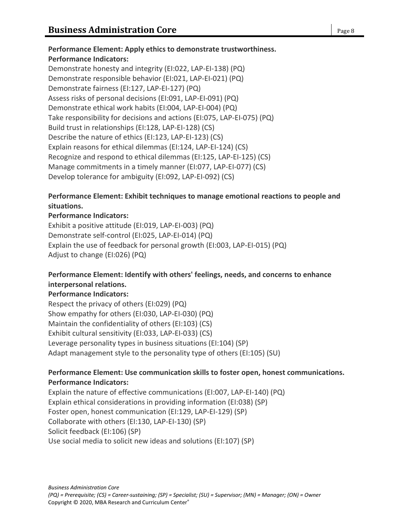## **Performance Element: Apply ethics to demonstrate trustworthiness. Performance Indicators:** Demonstrate honesty and integrity (EI:022, LAP-EI-138) (PQ)

Demonstrate responsible behavior (EI:021, LAP-EI-021) (PQ) Demonstrate fairness (EI:127, LAP-EI-127) (PQ) Assess risks of personal decisions (EI:091, LAP-EI-091) (PQ) Demonstrate ethical work habits (EI:004, LAP-EI-004) (PQ) Take responsibility for decisions and actions (EI:075, LAP-EI-075) (PQ) Build trust in relationships (EI:128, LAP-EI-128) (CS) Describe the nature of ethics (EI:123, LAP-EI-123) (CS) Explain reasons for ethical dilemmas (EI:124, LAP-EI-124) (CS) Recognize and respond to ethical dilemmas (EI:125, LAP-EI-125) (CS) Manage commitments in a timely manner (EI:077, LAP-EI-077) (CS) Develop tolerance for ambiguity (EI:092, LAP-EI-092) (CS)

#### **Performance Element: Exhibit techniques to manage emotional reactions to people and situations.**

#### **Performance Indicators:**

Exhibit a positive attitude (EI:019, LAP-EI-003) (PQ) Demonstrate self-control (EI:025, LAP-EI-014) (PQ) Explain the use of feedback for personal growth (EI:003, LAP-EI-015) (PQ) Adjust to change (EI:026) (PQ)

## **Performance Element: Identify with others' feelings, needs, and concerns to enhance interpersonal relations.**

#### **Performance Indicators:**

Respect the privacy of others (EI:029) (PQ) Show empathy for others (EI:030, LAP-EI-030) (PQ) Maintain the confidentiality of others (EI:103) (CS) Exhibit cultural sensitivity (EI:033, LAP-EI-033) (CS) Leverage personality types in business situations (EI:104) (SP) Adapt management style to the personality type of others (EI:105) (SU)

#### **Performance Element: Use communication skills to foster open, honest communications. Performance Indicators:**

Explain the nature of effective communications (EI:007, LAP-EI-140) (PQ) Explain ethical considerations in providing information (EI:038) (SP) Foster open, honest communication (EI:129, LAP-EI-129) (SP) Collaborate with others (EI:130, LAP-EI-130) (SP) Solicit feedback (EI:106) (SP) Use social media to solicit new ideas and solutions (EI:107) (SP)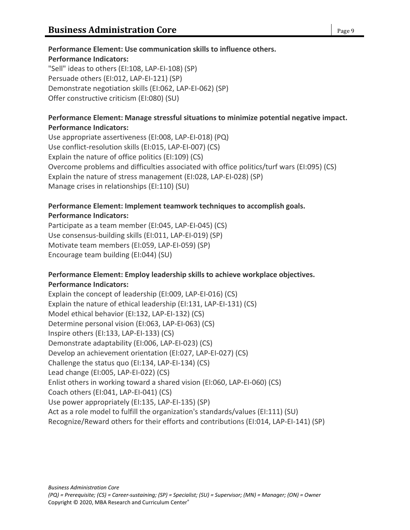## **Performance Element: Use communication skills to influence others.**

#### **Performance Indicators:**

"Sell" ideas to others (EI:108, LAP-EI-108) (SP) Persuade others (EI:012, LAP-EI-121) (SP) Demonstrate negotiation skills (EI:062, LAP-EI-062) (SP) Offer constructive criticism (EI:080) (SU)

#### **Performance Element: Manage stressful situations to minimize potential negative impact. Performance Indicators:**

Use appropriate assertiveness (EI:008, LAP-EI-018) (PQ) Use conflict-resolution skills (EI:015, LAP-EI-007) (CS) Explain the nature of office politics (EI:109) (CS) Overcome problems and difficulties associated with office politics/turf wars (EI:095) (CS) Explain the nature of stress management (EI:028, LAP-EI-028) (SP) Manage crises in relationships (EI:110) (SU)

#### **Performance Element: Implement teamwork techniques to accomplish goals. Performance Indicators:**

Participate as a team member (EI:045, LAP-EI-045) (CS) Use consensus-building skills (EI:011, LAP-EI-019) (SP) Motivate team members (EI:059, LAP-EI-059) (SP) Encourage team building (EI:044) (SU)

#### **Performance Element: Employ leadership skills to achieve workplace objectives. Performance Indicators:**

Explain the concept of leadership (EI:009, LAP-EI-016) (CS) Explain the nature of ethical leadership (EI:131, LAP-EI-131) (CS) Model ethical behavior (EI:132, LAP-EI-132) (CS) Determine personal vision (EI:063, LAP-EI-063) (CS) Inspire others (EI:133, LAP-EI-133) (CS) Demonstrate adaptability (EI:006, LAP-EI-023) (CS) Develop an achievement orientation (EI:027, LAP-EI-027) (CS) Challenge the status quo (EI:134, LAP-EI-134) (CS) Lead change (EI:005, LAP-EI-022) (CS) Enlist others in working toward a shared vision (EI:060, LAP-EI-060) (CS) Coach others (EI:041, LAP-EI-041) (CS) Use power appropriately (EI:135, LAP-EI-135) (SP) Act as a role model to fulfill the organization's standards/values (EI:111) (SU) Recognize/Reward others for their efforts and contributions (EI:014, LAP-EI-141) (SP)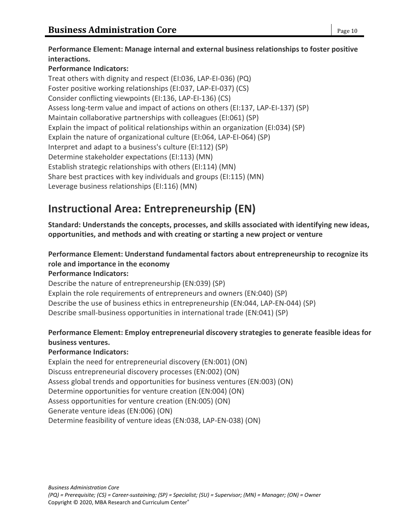## **Performance Element: Manage internal and external business relationships to foster positive interactions.**

## **Performance Indicators:**

Treat others with dignity and respect (EI:036, LAP-EI-036) (PQ) Foster positive working relationships (EI:037, LAP-EI-037) (CS) Consider conflicting viewpoints (EI:136, LAP-EI-136) (CS) Assess long-term value and impact of actions on others (EI:137, LAP-EI-137) (SP) Maintain collaborative partnerships with colleagues (EI:061) (SP) Explain the impact of political relationships within an organization (EI:034) (SP) Explain the nature of organizational culture (EI:064, LAP-EI-064) (SP) Interpret and adapt to a business's culture (EI:112) (SP) Determine stakeholder expectations (EI:113) (MN) Establish strategic relationships with others (EI:114) (MN) Share best practices with key individuals and groups (EI:115) (MN) Leverage business relationships (EI:116) (MN)

# **Instructional Area: Entrepreneurship (EN)**

**Standard: Understands the concepts, processes, and skills associated with identifying new ideas, opportunities, and methods and with creating or starting a new project or venture**

## **Performance Element: Understand fundamental factors about entrepreneurship to recognize its role and importance in the economy**

#### **Performance Indicators:**

Describe the nature of entrepreneurship (EN:039) (SP) Explain the role requirements of entrepreneurs and owners (EN:040) (SP) Describe the use of business ethics in entrepreneurship (EN:044, LAP-EN-044) (SP) Describe small-business opportunities in international trade (EN:041) (SP)

## **Performance Element: Employ entrepreneurial discovery strategies to generate feasible ideas for business ventures.**

#### **Performance Indicators:**

Explain the need for entrepreneurial discovery (EN:001) (ON) Discuss entrepreneurial discovery processes (EN:002) (ON) Assess global trends and opportunities for business ventures (EN:003) (ON) Determine opportunities for venture creation (EN:004) (ON) Assess opportunities for venture creation (EN:005) (ON) Generate venture ideas (EN:006) (ON) Determine feasibility of venture ideas (EN:038, LAP-EN-038) (ON)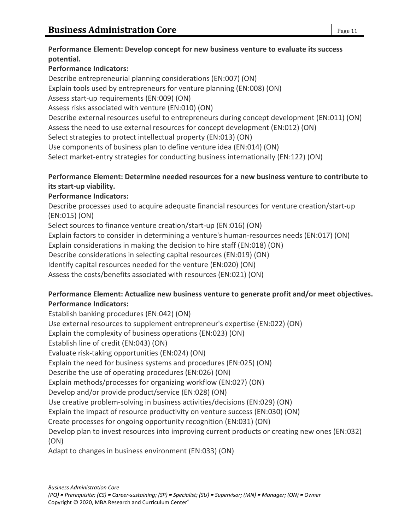#### **Performance Element: Develop concept for new business venture to evaluate its success potential.**

## **Performance Indicators:**

Describe entrepreneurial planning considerations (EN:007) (ON) Explain tools used by entrepreneurs for venture planning (EN:008) (ON) Assess start-up requirements (EN:009) (ON) Assess risks associated with venture (EN:010) (ON) Describe external resources useful to entrepreneurs during concept development (EN:011) (ON) Assess the need to use external resources for concept development (EN:012) (ON) Select strategies to protect intellectual property (EN:013) (ON) Use components of business plan to define venture idea (EN:014) (ON) Select market-entry strategies for conducting business internationally (EN:122) (ON)

### **Performance Element: Determine needed resources for a new business venture to contribute to its start-up viability.**

## **Performance Indicators:**

Describe processes used to acquire adequate financial resources for venture creation/start-up (EN:015) (ON)

Select sources to finance venture creation/start-up (EN:016) (ON)

Explain factors to consider in determining a venture's human-resources needs (EN:017) (ON)

Explain considerations in making the decision to hire staff (EN:018) (ON)

Describe considerations in selecting capital resources (EN:019) (ON)

Identify capital resources needed for the venture (EN:020) (ON)

Assess the costs/benefits associated with resources (EN:021) (ON)

## **Performance Element: Actualize new business venture to generate profit and/or meet objectives. Performance Indicators:**

Establish banking procedures (EN:042) (ON) Use external resources to supplement entrepreneur's expertise (EN:022) (ON) Explain the complexity of business operations (EN:023) (ON) Establish line of credit (EN:043) (ON) Evaluate risk-taking opportunities (EN:024) (ON) Explain the need for business systems and procedures (EN:025) (ON) Describe the use of operating procedures (EN:026) (ON) Explain methods/processes for organizing workflow (EN:027) (ON) Develop and/or provide product/service (EN:028) (ON) Use creative problem-solving in business activities/decisions (EN:029) (ON) Explain the impact of resource productivity on venture success (EN:030) (ON) Create processes for ongoing opportunity recognition (EN:031) (ON) Develop plan to invest resources into improving current products or creating new ones (EN:032) (ON) Adapt to changes in business environment (EN:033) (ON)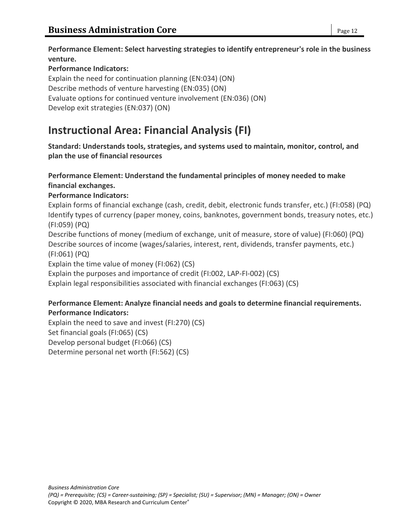**Performance Element: Select harvesting strategies to identify entrepreneur's role in the business venture.**

#### **Performance Indicators:**

Explain the need for continuation planning (EN:034) (ON) Describe methods of venture harvesting (EN:035) (ON) Evaluate options for continued venture involvement (EN:036) (ON) Develop exit strategies (EN:037) (ON)

# **Instructional Area: Financial Analysis (FI)**

**Standard: Understands tools, strategies, and systems used to maintain, monitor, control, and plan the use of financial resources**

## **Performance Element: Understand the fundamental principles of money needed to make financial exchanges.**

#### **Performance Indicators:**

Explain forms of financial exchange (cash, credit, debit, electronic funds transfer, etc.) (FI:058) (PQ) Identify types of currency (paper money, coins, banknotes, government bonds, treasury notes, etc.) (FI:059) (PQ)

Describe functions of money (medium of exchange, unit of measure, store of value) (FI:060) (PQ) Describe sources of income (wages/salaries, interest, rent, dividends, transfer payments, etc.) (FI:061) (PQ)

Explain the time value of money (FI:062) (CS)

Explain the purposes and importance of credit (FI:002, LAP-FI-002) (CS)

Explain legal responsibilities associated with financial exchanges (FI:063) (CS)

#### **Performance Element: Analyze financial needs and goals to determine financial requirements. Performance Indicators:**

Explain the need to save and invest (FI:270) (CS) Set financial goals (FI:065) (CS) Develop personal budget (FI:066) (CS) Determine personal net worth (FI:562) (CS)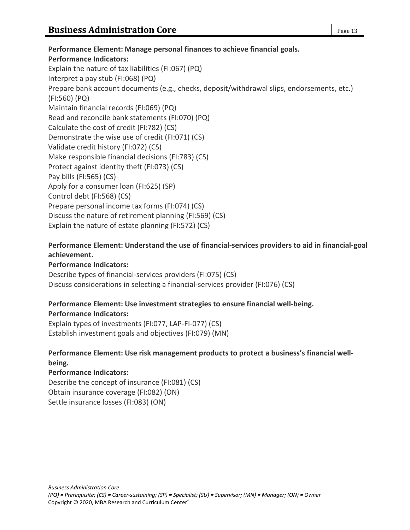#### **Performance Element: Manage personal finances to achieve financial goals. Performance Indicators:** Explain the nature of tax liabilities (FI:067) (PQ) Interpret a pay stub (FI:068) (PQ) Prepare bank account documents (e.g., checks, deposit/withdrawal slips, endorsements, etc.) (FI:560) (PQ) Maintain financial records (FI:069) (PQ) Read and reconcile bank statements (FI:070) (PQ) Calculate the cost of credit (FI:782) (CS) Demonstrate the wise use of credit (FI:071) (CS) Validate credit history (FI:072) (CS) Make responsible financial decisions (FI:783) (CS) Protect against identity theft (FI:073) (CS) Pay bills (FI:565) (CS) Apply for a consumer loan (FI:625) (SP) Control debt (FI:568) (CS) Prepare personal income tax forms (FI:074) (CS) Discuss the nature of retirement planning (FI:569) (CS) Explain the nature of estate planning (FI:572) (CS)

#### **Performance Element: Understand the use of financial-services providers to aid in financial-goal achievement.**

#### **Performance Indicators:**

Describe types of financial-services providers (FI:075) (CS) Discuss considerations in selecting a financial-services provider (FI:076) (CS)

#### **Performance Element: Use investment strategies to ensure financial well-being. Performance Indicators:**

Explain types of investments (FI:077, LAP-FI-077) (CS) Establish investment goals and objectives (FI:079) (MN)

#### **Performance Element: Use risk management products to protect a business's financial wellbeing.**

#### **Performance Indicators:**

Describe the concept of insurance (FI:081) (CS) Obtain insurance coverage (FI:082) (ON) Settle insurance losses (FI:083) (ON)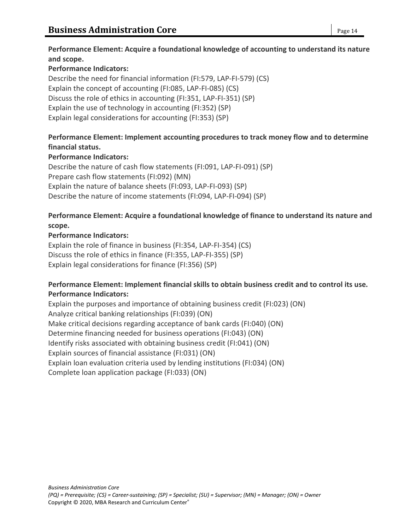**Performance Element: Acquire a foundational knowledge of accounting to understand its nature and scope.**

#### **Performance Indicators:**

Describe the need for financial information (FI:579, LAP-FI-579) (CS) Explain the concept of accounting (FI:085, LAP-FI-085) (CS) Discuss the role of ethics in accounting (FI:351, LAP-FI-351) (SP) Explain the use of technology in accounting (FI:352) (SP) Explain legal considerations for accounting (FI:353) (SP)

#### **Performance Element: Implement accounting procedures to track money flow and to determine financial status.**

#### **Performance Indicators:**

Describe the nature of cash flow statements (FI:091, LAP-FI-091) (SP) Prepare cash flow statements (FI:092) (MN) Explain the nature of balance sheets (FI:093, LAP-FI-093) (SP) Describe the nature of income statements (FI:094, LAP-FI-094) (SP)

#### **Performance Element: Acquire a foundational knowledge of finance to understand its nature and scope.**

#### **Performance Indicators:**

Explain the role of finance in business (FI:354, LAP-FI-354) (CS) Discuss the role of ethics in finance (FI:355, LAP-FI-355) (SP) Explain legal considerations for finance (FI:356) (SP)

#### **Performance Element: Implement financial skills to obtain business credit and to control its use. Performance Indicators:**

Explain the purposes and importance of obtaining business credit (FI:023) (ON) Analyze critical banking relationships (FI:039) (ON) Make critical decisions regarding acceptance of bank cards (FI:040) (ON) Determine financing needed for business operations (FI:043) (ON) Identify risks associated with obtaining business credit (FI:041) (ON) Explain sources of financial assistance (FI:031) (ON) Explain loan evaluation criteria used by lending institutions (FI:034) (ON) Complete loan application package (FI:033) (ON)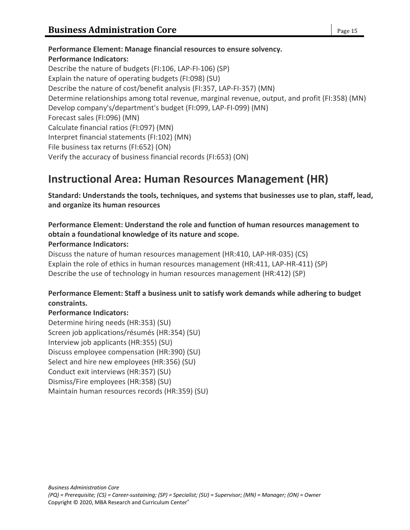**Performance Element: Manage financial resources to ensure solvency. Performance Indicators:** Describe the nature of budgets (FI:106, LAP-FI-106) (SP) Explain the nature of operating budgets (FI:098) (SU) Describe the nature of cost/benefit analysis (FI:357, LAP-FI-357) (MN) Determine relationships among total revenue, marginal revenue, output, and profit (FI:358) (MN) Develop company's/department's budget (FI:099, LAP-FI-099) (MN) Forecast sales (FI:096) (MN) Calculate financial ratios (FI:097) (MN) Interpret financial statements (FI:102) (MN) File business tax returns (FI:652) (ON) Verify the accuracy of business financial records (FI:653) (ON)

## **Instructional Area: Human Resources Management (HR)**

**Standard: Understands the tools, techniques, and systems that businesses use to plan, staff, lead, and organize its human resources**

#### **Performance Element: Understand the role and function of human resources management to obtain a foundational knowledge of its nature and scope.**

#### **Performance Indicators:**

Discuss the nature of human resources management (HR:410, LAP-HR-035) (CS) Explain the role of ethics in human resources management (HR:411, LAP-HR-411) (SP) Describe the use of technology in human resources management (HR:412) (SP)

## **Performance Element: Staff a business unit to satisfy work demands while adhering to budget constraints.**

#### **Performance Indicators:**

Determine hiring needs (HR:353) (SU) Screen job applications/résumés (HR:354) (SU) Interview job applicants (HR:355) (SU) Discuss employee compensation (HR:390) (SU) Select and hire new employees (HR:356) (SU) Conduct exit interviews (HR:357) (SU) Dismiss/Fire employees (HR:358) (SU) Maintain human resources records (HR:359) (SU)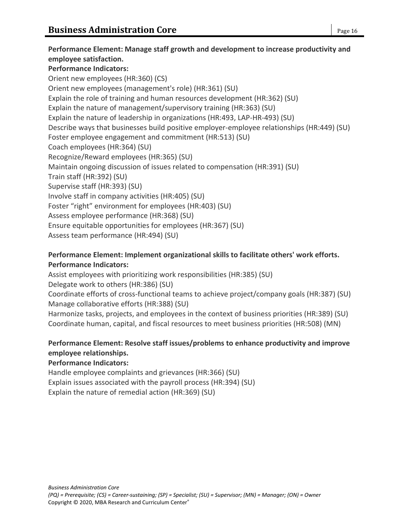**Performance Element: Manage staff growth and development to increase productivity and employee satisfaction. Performance Indicators:** Orient new employees (HR:360) (CS) Orient new employees (management's role) (HR:361) (SU) Explain the role of training and human resources development (HR:362) (SU) Explain the nature of management/supervisory training (HR:363) (SU) Explain the nature of leadership in organizations (HR:493, LAP-HR-493) (SU) Describe ways that businesses build positive employer-employee relationships (HR:449) (SU) Foster employee engagement and commitment (HR:513) (SU) Coach employees (HR:364) (SU) Recognize/Reward employees (HR:365) (SU) Maintain ongoing discussion of issues related to compensation (HR:391) (SU) Train staff (HR:392) (SU) Supervise staff (HR:393) (SU) Involve staff in company activities (HR:405) (SU) Foster "right" environment for employees (HR:403) (SU) Assess employee performance (HR:368) (SU) Ensure equitable opportunities for employees (HR:367) (SU) Assess team performance (HR:494) (SU)

## **Performance Element: Implement organizational skills to facilitate others' work efforts. Performance Indicators:**

Assist employees with prioritizing work responsibilities (HR:385) (SU) Delegate work to others (HR:386) (SU)

Coordinate efforts of cross-functional teams to achieve project/company goals (HR:387) (SU) Manage collaborative efforts (HR:388) (SU)

Harmonize tasks, projects, and employees in the context of business priorities (HR:389) (SU) Coordinate human, capital, and fiscal resources to meet business priorities (HR:508) (MN)

## **Performance Element: Resolve staff issues/problems to enhance productivity and improve employee relationships.**

#### **Performance Indicators:**

Handle employee complaints and grievances (HR:366) (SU) Explain issues associated with the payroll process (HR:394) (SU) Explain the nature of remedial action (HR:369) (SU)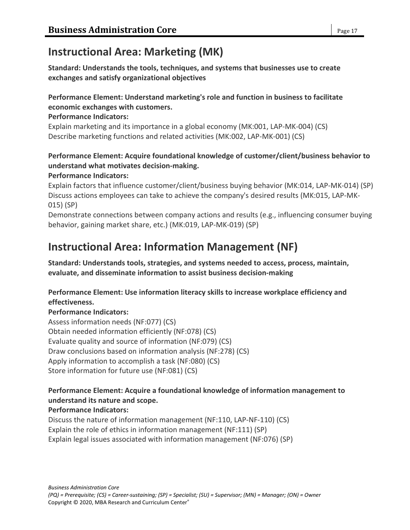# **Instructional Area: Marketing (MK)**

**Standard: Understands the tools, techniques, and systems that businesses use to create exchanges and satisfy organizational objectives**

### **Performance Element: Understand marketing's role and function in business to facilitate economic exchanges with customers.**

#### **Performance Indicators:**

Explain marketing and its importance in a global economy (MK:001, LAP-MK-004) (CS) Describe marketing functions and related activities (MK:002, LAP-MK-001) (CS)

## **Performance Element: Acquire foundational knowledge of customer/client/business behavior to understand what motivates decision-making.**

#### **Performance Indicators:**

Explain factors that influence customer/client/business buying behavior (MK:014, LAP-MK-014) (SP) Discuss actions employees can take to achieve the company's desired results (MK:015, LAP-MK-015) (SP)

Demonstrate connections between company actions and results (e.g., influencing consumer buying behavior, gaining market share, etc.) (MK:019, LAP-MK-019) (SP)

# **Instructional Area: Information Management (NF)**

**Standard: Understands tools, strategies, and systems needed to access, process, maintain, evaluate, and disseminate information to assist business decision-making**

#### **Performance Element: Use information literacy skills to increase workplace efficiency and effectiveness.**

#### **Performance Indicators:**

Assess information needs (NF:077) (CS) Obtain needed information efficiently (NF:078) (CS) Evaluate quality and source of information (NF:079) (CS) Draw conclusions based on information analysis (NF:278) (CS) Apply information to accomplish a task (NF:080) (CS) Store information for future use (NF:081) (CS)

## **Performance Element: Acquire a foundational knowledge of information management to understand its nature and scope.**

#### **Performance Indicators:**

Discuss the nature of information management (NF:110, LAP-NF-110) (CS) Explain the role of ethics in information management (NF:111) (SP) Explain legal issues associated with information management (NF:076) (SP)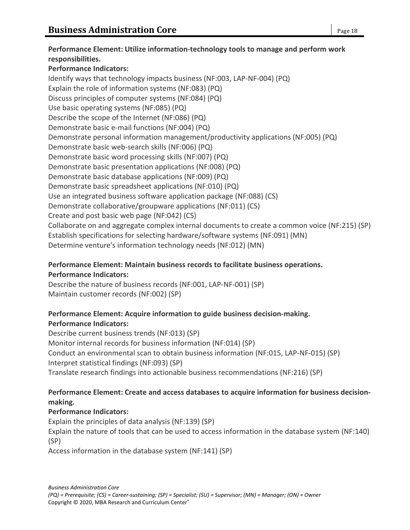**Performance Element: Utilize information-technology tools to manage and perform work responsibilities. Performance Indicators:** Identify ways that technology impacts business (NF:003, LAP-NF-004) (PQ) Explain the role of information systems (NF:083) (PQ) Discuss principles of computer systems (NF:084) (PQ) Use basic operating systems (NF:085) (PQ) Describe the scope of the Internet (NF:086) (PQ) Demonstrate basic e-mail functions (NF:004) (PQ) Demonstrate personal information management/productivity applications (NF:005) (PQ) Demonstrate basic web-search skills (NF:006) (PQ) Demonstrate basic word processing skills (NF:007) (PQ) Demonstrate basic presentation applications (NF:008) (PQ) Demonstrate basic database applications (NF:009) (PQ) Demonstrate basic spreadsheet applications (NF:010) (PQ) Use an integrated business software application package (NF:088) (CS)

Demonstrate collaborative/groupware applications (NF:011) (CS)

Create and post basic web page (NF:042) (CS)

Collaborate on and aggregate complex internal documents to create a common voice (NF:215) (SP) Establish specifications for selecting hardware/software systems (NF:091) (MN) Determine venture's information technology needs (NF:012) (MN)

## **Performance Element: Maintain business records to facilitate business operations. Performance Indicators:**

Describe the nature of business records (NF:001, LAP-NF-001) (SP) Maintain customer records (NF:002) (SP)

## **Performance Element: Acquire information to guide business decision-making. Performance Indicators:**

Describe current business trends (NF:013) (SP) Monitor internal records for business information (NF:014) (SP) Conduct an environmental scan to obtain business information (NF:015, LAP-NF-015) (SP) Interpret statistical findings (NF:093) (SP) Translate research findings into actionable business recommendations (NF:216) (SP)

## **Performance Element: Create and access databases to acquire information for business decisionmaking.**

## **Performance Indicators:**

Explain the principles of data analysis (NF:139) (SP)

Explain the nature of tools that can be used to access information in the database system (NF:140) (SP)

Access information in the database system (NF:141) (SP)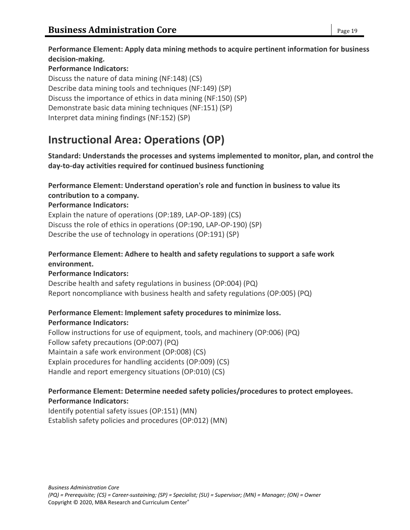**Performance Element: Apply data mining methods to acquire pertinent information for business decision-making.**

#### **Performance Indicators:**

Discuss the nature of data mining (NF:148) (CS) Describe data mining tools and techniques (NF:149) (SP) Discuss the importance of ethics in data mining (NF:150) (SP) Demonstrate basic data mining techniques (NF:151) (SP) Interpret data mining findings (NF:152) (SP)

# **Instructional Area: Operations (OP)**

**Standard: Understands the processes and systems implemented to monitor, plan, and control the day-to-day activities required for continued business functioning**

#### **Performance Element: Understand operation's role and function in business to value its contribution to a company.**

#### **Performance Indicators:**

Explain the nature of operations (OP:189, LAP-OP-189) (CS) Discuss the role of ethics in operations (OP:190, LAP-OP-190) (SP) Describe the use of technology in operations (OP:191) (SP)

#### **Performance Element: Adhere to health and safety regulations to support a safe work environment.**

#### **Performance Indicators:**

Describe health and safety regulations in business (OP:004) (PQ) Report noncompliance with business health and safety regulations (OP:005) (PQ)

#### **Performance Element: Implement safety procedures to minimize loss. Performance Indicators:**

Follow instructions for use of equipment, tools, and machinery (OP:006) (PQ) Follow safety precautions (OP:007) (PQ) Maintain a safe work environment (OP:008) (CS) Explain procedures for handling accidents (OP:009) (CS) Handle and report emergency situations (OP:010) (CS)

#### **Performance Element: Determine needed safety policies/procedures to protect employees. Performance Indicators:**

Identify potential safety issues (OP:151) (MN) Establish safety policies and procedures (OP:012) (MN)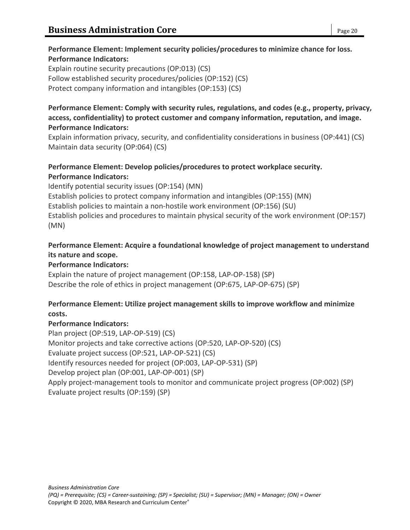#### **Performance Element: Implement security policies/procedures to minimize chance for loss. Performance Indicators:**

Explain routine security precautions (OP:013) (CS) Follow established security procedures/policies (OP:152) (CS) Protect company information and intangibles (OP:153) (CS)

**Performance Element: Comply with security rules, regulations, and codes (e.g., property, privacy, access, confidentiality) to protect customer and company information, reputation, and image. Performance Indicators:**

Explain information privacy, security, and confidentiality considerations in business (OP:441) (CS) Maintain data security (OP:064) (CS)

## **Performance Element: Develop policies/procedures to protect workplace security. Performance Indicators:**

Identify potential security issues (OP:154) (MN) Establish policies to protect company information and intangibles (OP:155) (MN) Establish policies to maintain a non-hostile work environment (OP:156) (SU) Establish policies and procedures to maintain physical security of the work environment (OP:157) (MN)

### **Performance Element: Acquire a foundational knowledge of project management to understand its nature and scope.**

### **Performance Indicators:**

Explain the nature of project management (OP:158, LAP-OP-158) (SP) Describe the role of ethics in project management (OP:675, LAP-OP-675) (SP)

#### **Performance Element: Utilize project management skills to improve workflow and minimize costs.**

#### **Performance Indicators:**

Plan project (OP:519, LAP-OP-519) (CS) Monitor projects and take corrective actions (OP:520, LAP-OP-520) (CS) Evaluate project success (OP:521, LAP-OP-521) (CS) Identify resources needed for project (OP:003, LAP-OP-531) (SP) Develop project plan (OP:001, LAP-OP-001) (SP) Apply project-management tools to monitor and communicate project progress (OP:002) (SP) Evaluate project results (OP:159) (SP)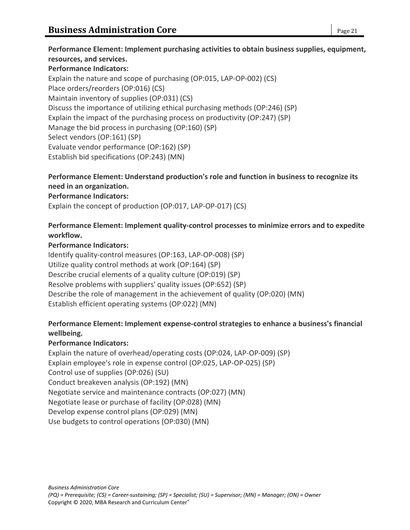**Performance Element: Implement purchasing activities to obtain business supplies, equipment, resources, and services. Performance Indicators:** Explain the nature and scope of purchasing (OP:015, LAP-OP-002) (CS) Place orders/reorders (OP:016) (CS) Maintain inventory of supplies (OP:031) (CS) Discuss the importance of utilizing ethical purchasing methods (OP:246) (SP) Explain the impact of the purchasing process on productivity (OP:247) (SP) Manage the bid process in purchasing (OP:160) (SP) Select vendors (OP:161) (SP) Evaluate vendor performance (OP:162) (SP)

Establish bid specifications (OP:243) (MN)

## **Performance Element: Understand production's role and function in business to recognize its need in an organization.**

#### **Performance Indicators:**

Explain the concept of production (OP:017, LAP-OP-017) (CS)

#### **Performance Element: Implement quality-control processes to minimize errors and to expedite workflow.**

#### **Performance Indicators:**

Identify quality-control measures (OP:163, LAP-OP-008) (SP) Utilize quality control methods at work (OP:164) (SP) Describe crucial elements of a quality culture (OP:019) (SP) Resolve problems with suppliers' quality issues (OP:652) (SP) Describe the role of management in the achievement of quality (OP:020) (MN) Establish efficient operating systems (OP:022) (MN)

#### **Performance Element: Implement expense-control strategies to enhance a business's financial wellbeing.**

#### **Performance Indicators:**

Explain the nature of overhead/operating costs (OP:024, LAP-OP-009) (SP) Explain employee's role in expense control (OP:025, LAP-OP-025) (SP) Control use of supplies (OP:026) (SU) Conduct breakeven analysis (OP:192) (MN) Negotiate service and maintenance contracts (OP:027) (MN) Negotiate lease or purchase of facility (OP:028) (MN) Develop expense control plans (OP:029) (MN) Use budgets to control operations (OP:030) (MN)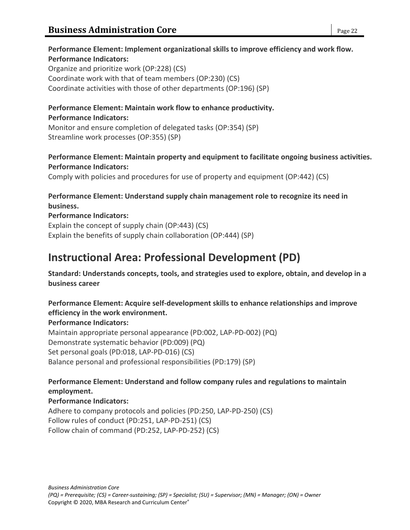#### **Performance Element: Implement organizational skills to improve efficiency and work flow. Performance Indicators:**

Organize and prioritize work (OP:228) (CS) Coordinate work with that of team members (OP:230) (CS) Coordinate activities with those of other departments (OP:196) (SP)

#### **Performance Element: Maintain work flow to enhance productivity. Performance Indicators:**

Monitor and ensure completion of delegated tasks (OP:354) (SP) Streamline work processes (OP:355) (SP)

**Performance Element: Maintain property and equipment to facilitate ongoing business activities. Performance Indicators:**

Comply with policies and procedures for use of property and equipment (OP:442) (CS)

#### **Performance Element: Understand supply chain management role to recognize its need in business.**

## **Performance Indicators:**

Explain the concept of supply chain (OP:443) (CS) Explain the benefits of supply chain collaboration (OP:444) (SP)

# **Instructional Area: Professional Development (PD)**

**Standard: Understands concepts, tools, and strategies used to explore, obtain, and develop in a business career**

**Performance Element: Acquire self-development skills to enhance relationships and improve efficiency in the work environment.**

#### **Performance Indicators:**

Maintain appropriate personal appearance (PD:002, LAP-PD-002) (PQ) Demonstrate systematic behavior (PD:009) (PQ) Set personal goals (PD:018, LAP-PD-016) (CS) Balance personal and professional responsibilities (PD:179) (SP)

**Performance Element: Understand and follow company rules and regulations to maintain employment.**

## **Performance Indicators:**

Adhere to company protocols and policies (PD:250, LAP-PD-250) (CS) Follow rules of conduct (PD:251, LAP-PD-251) (CS) Follow chain of command (PD:252, LAP-PD-252) (CS)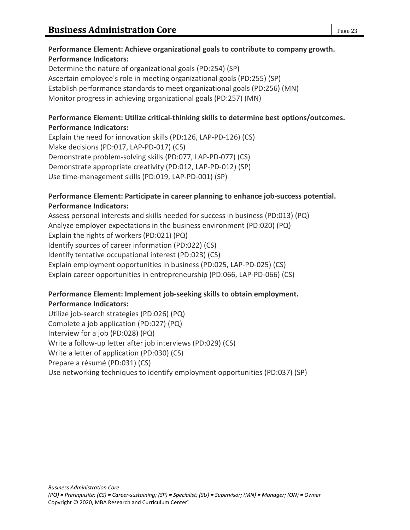### **Performance Element: Achieve organizational goals to contribute to company growth. Performance Indicators:**

Determine the nature of organizational goals (PD:254) (SP) Ascertain employee's role in meeting organizational goals (PD:255) (SP) Establish performance standards to meet organizational goals (PD:256) (MN) Monitor progress in achieving organizational goals (PD:257) (MN)

#### **Performance Element: Utilize critical-thinking skills to determine best options/outcomes. Performance Indicators:**

Explain the need for innovation skills (PD:126, LAP-PD-126) (CS) Make decisions (PD:017, LAP-PD-017) (CS) Demonstrate problem-solving skills (PD:077, LAP-PD-077) (CS) Demonstrate appropriate creativity (PD:012, LAP-PD-012) (SP) Use time-management skills (PD:019, LAP-PD-001) (SP)

#### **Performance Element: Participate in career planning to enhance job-success potential. Performance Indicators:**

Assess personal interests and skills needed for success in business (PD:013) (PQ) Analyze employer expectations in the business environment (PD:020) (PQ) Explain the rights of workers (PD:021) (PQ) Identify sources of career information (PD:022) (CS) Identify tentative occupational interest (PD:023) (CS) Explain employment opportunities in business (PD:025, LAP-PD-025) (CS) Explain career opportunities in entrepreneurship (PD:066, LAP-PD-066) (CS)

## **Performance Element: Implement job-seeking skills to obtain employment. Performance Indicators:**

Utilize job-search strategies (PD:026) (PQ) Complete a job application (PD:027) (PQ) Interview for a job (PD:028) (PQ) Write a follow-up letter after job interviews (PD:029) (CS) Write a letter of application (PD:030) (CS) Prepare a résumé (PD:031) (CS) Use networking techniques to identify employment opportunities (PD:037) (SP)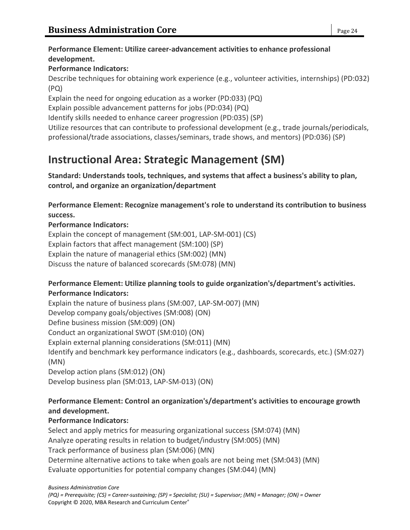### **Performance Element: Utilize career-advancement activities to enhance professional development.**

## **Performance Indicators:**

Describe techniques for obtaining work experience (e.g., volunteer activities, internships) (PD:032) (PQ)

Explain the need for ongoing education as a worker (PD:033) (PQ)

Explain possible advancement patterns for jobs (PD:034) (PQ)

Identify skills needed to enhance career progression (PD:035) (SP)

Utilize resources that can contribute to professional development (e.g., trade journals/periodicals, professional/trade associations, classes/seminars, trade shows, and mentors) (PD:036) (SP)

# **Instructional Area: Strategic Management (SM)**

**Standard: Understands tools, techniques, and systems that affect a business's ability to plan, control, and organize an organization/department**

**Performance Element: Recognize management's role to understand its contribution to business success.**

## **Performance Indicators:**

Explain the concept of management (SM:001, LAP-SM-001) (CS) Explain factors that affect management (SM:100) (SP) Explain the nature of managerial ethics (SM:002) (MN) Discuss the nature of balanced scorecards (SM:078) (MN)

#### **Performance Element: Utilize planning tools to guide organization's/department's activities. Performance Indicators:**

Explain the nature of business plans (SM:007, LAP-SM-007) (MN) Develop company goals/objectives (SM:008) (ON) Define business mission (SM:009) (ON) Conduct an organizational SWOT (SM:010) (ON) Explain external planning considerations (SM:011) (MN) Identify and benchmark key performance indicators (e.g., dashboards, scorecards, etc.) (SM:027) (MN) Develop action plans (SM:012) (ON) Develop business plan (SM:013, LAP-SM-013) (ON)

## **Performance Element: Control an organization's/department's activities to encourage growth and development.**

## **Performance Indicators:**

Select and apply metrics for measuring organizational success (SM:074) (MN) Analyze operating results in relation to budget/industry (SM:005) (MN) Track performance of business plan (SM:006) (MN) Determine alternative actions to take when goals are not being met (SM:043) (MN) Evaluate opportunities for potential company changes (SM:044) (MN)